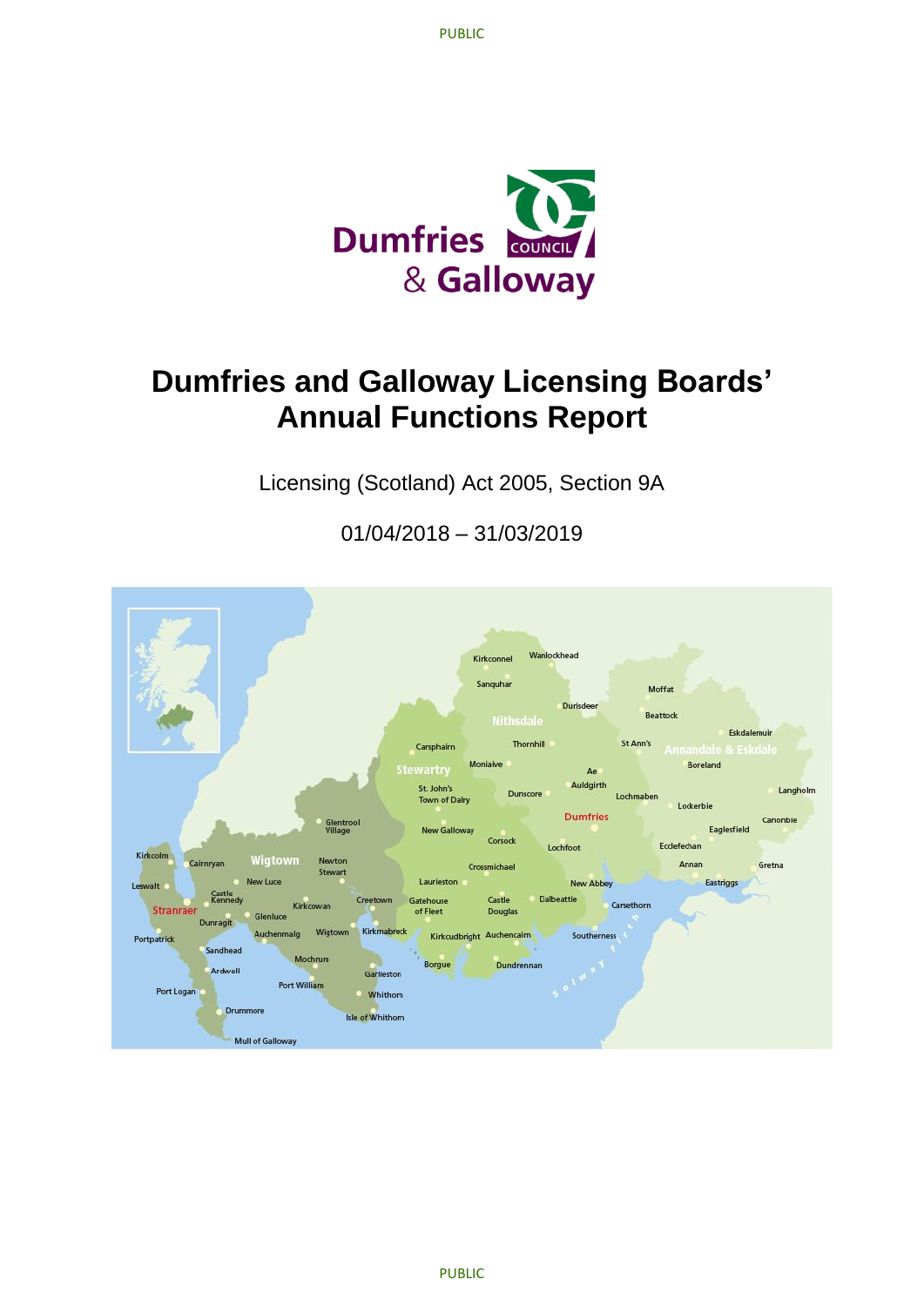

# **Dumfries and Galloway Licensing Boards' Annual Functions Report**

Licensing (Scotland) Act 2005, Section 9A

01/04/2018 – 31/03/2019

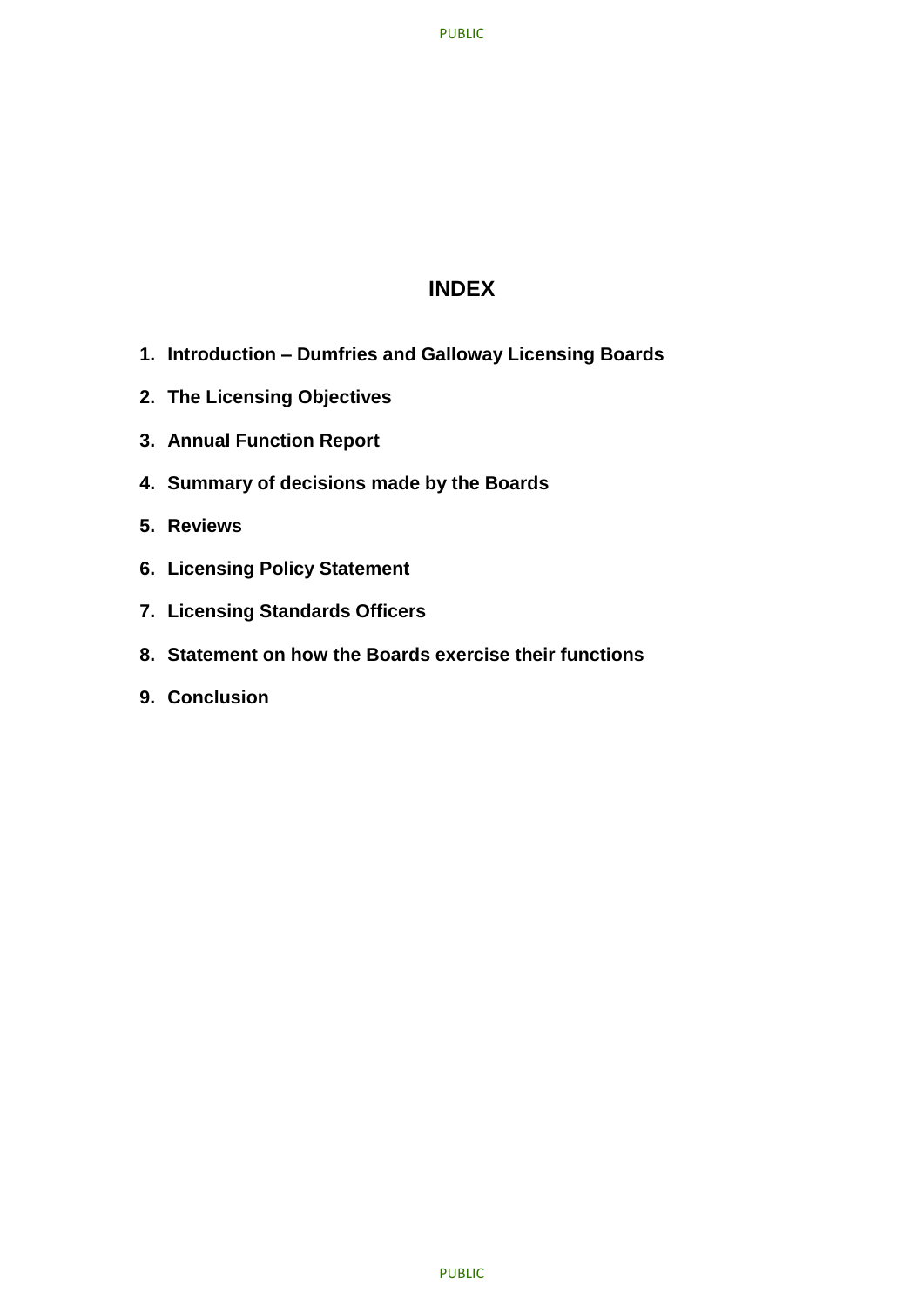# **INDEX**

- **1. Introduction – Dumfries and Galloway Licensing Boards**
- **2. The Licensing Objectives**
- **3. Annual Function Report**
- **4. Summary of decisions made by the Boards**
- **5. Reviews**
- **6. Licensing Policy Statement**
- **7. Licensing Standards Officers**
- **8. Statement on how the Boards exercise their functions**
- **9. Conclusion**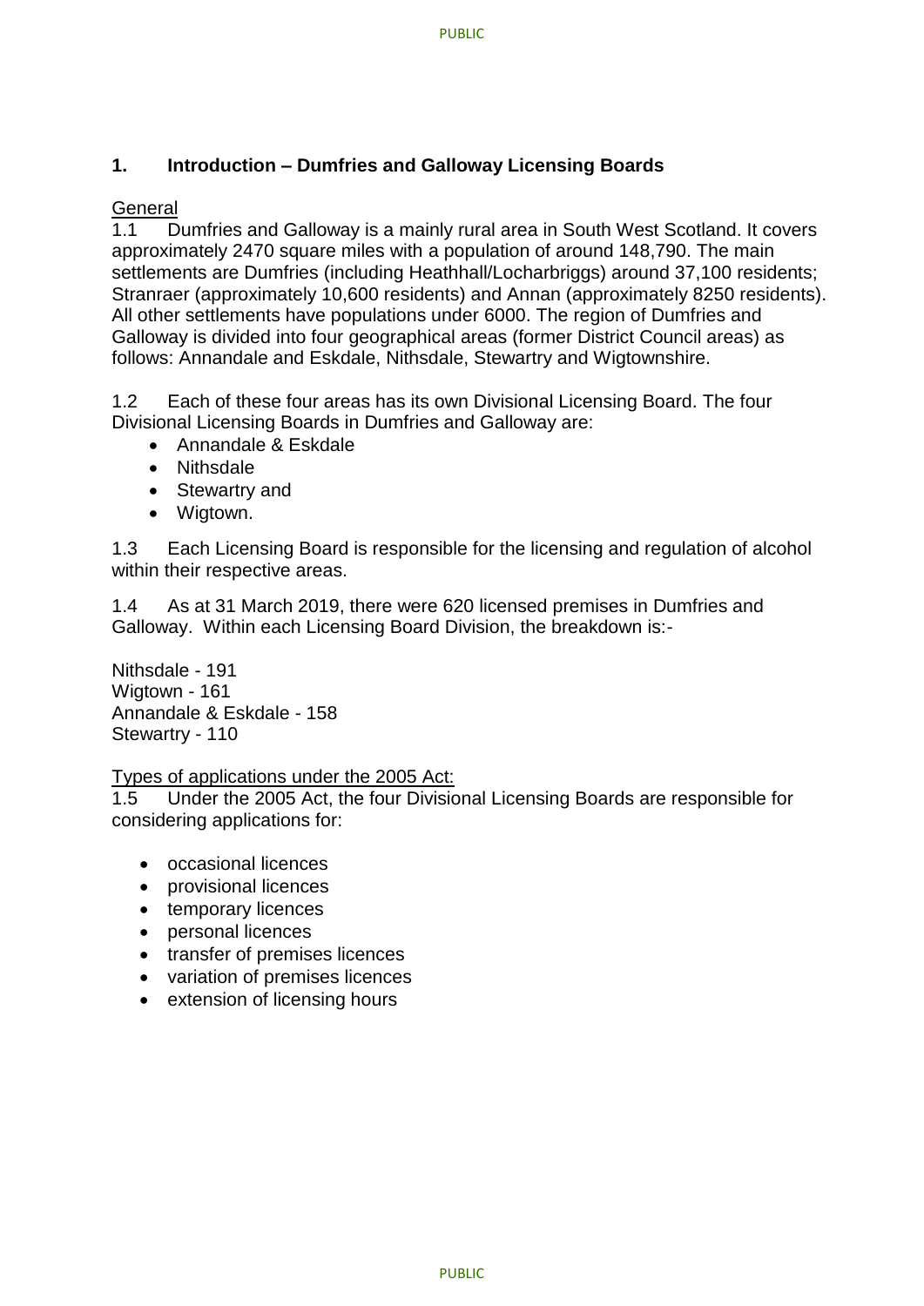## **1. Introduction – Dumfries and Galloway Licensing Boards**

## **General**

1.1 Dumfries and Galloway is a mainly rural area in South West Scotland. It covers approximately 2470 square miles with a population of around 148,790. The main settlements are Dumfries (including Heathhall/Locharbriggs) around 37,100 residents; Stranraer (approximately 10,600 residents) and Annan (approximately 8250 residents). All other settlements have populations under 6000. The region of Dumfries and Galloway is divided into four geographical areas (former District Council areas) as follows: Annandale and Eskdale, Nithsdale, Stewartry and Wigtownshire.

1.2 Each of these four areas has its own Divisional Licensing Board. The four Divisional Licensing Boards in Dumfries and Galloway are:

- Annandale & Eskdale
- Nithsdale
- Stewartry and
- Wigtown.

1.3 Each Licensing Board is responsible for the licensing and regulation of alcohol within their respective areas.

1.4 As at 31 March 2019, there were 620 licensed premises in Dumfries and Galloway. Within each Licensing Board Division, the breakdown is:-

Nithsdale - 191 Wigtown - 161 Annandale & Eskdale - 158 Stewartry - 110

#### Types of applications under the 2005 Act:

1.5 Under the 2005 Act, the four Divisional Licensing Boards are responsible for considering applications for:

- occasional licences
- provisional licences
- temporary licences
- personal licences
- transfer of premises licences
- variation of premises licences
- extension of licensing hours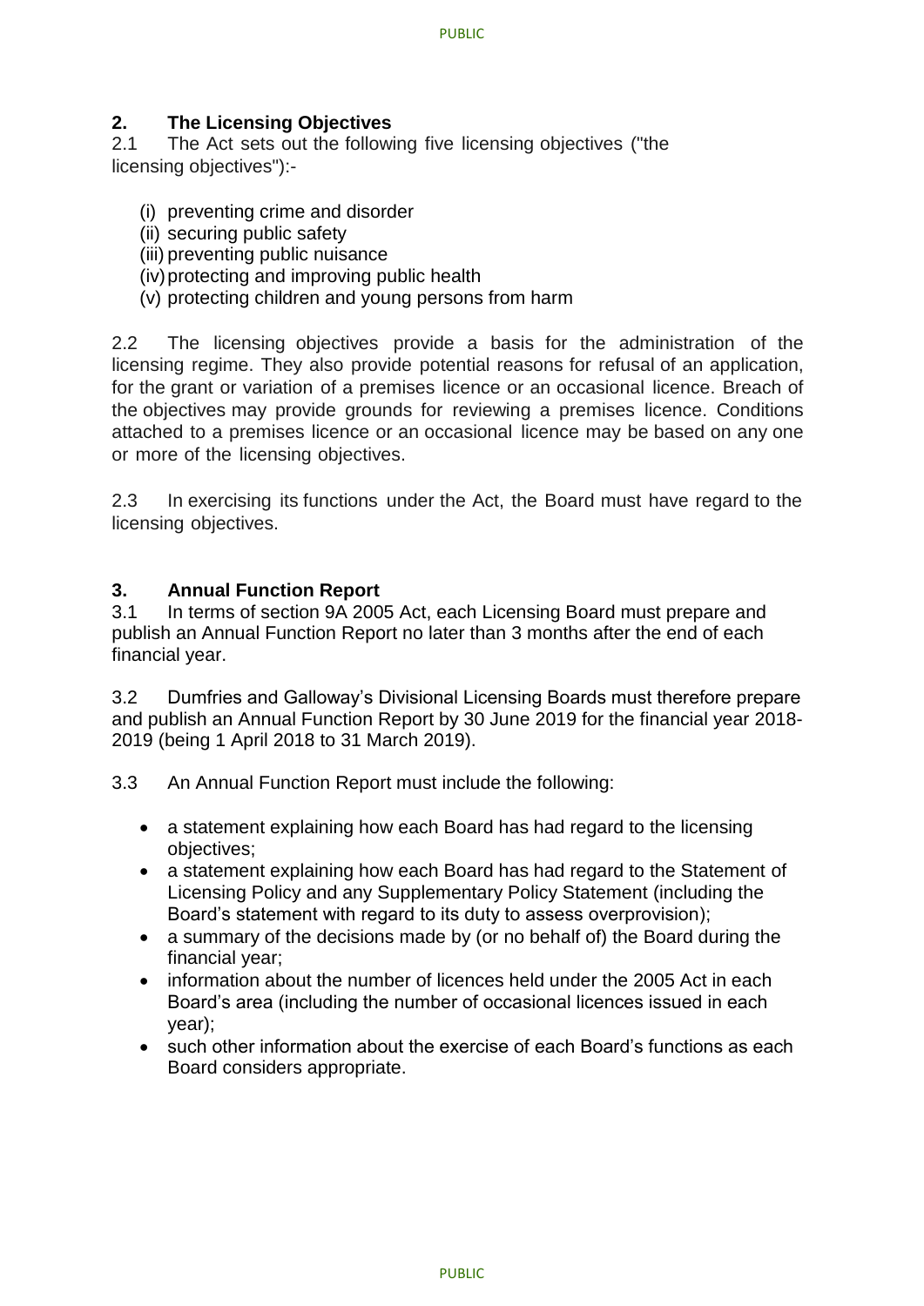## **2. The Licensing Objectives**

2.1 The Act sets out the following five licensing objectives ("the licensing objectives"):-

- (i) preventing crime and disorder
- (ii) securing public safety
- (iii) preventing public nuisance
- (iv)protecting and improving public health
- (v) protecting children and young persons from harm

2.2 The licensing objectives provide a basis for the administration of the licensing regime. They also provide potential reasons for refusal of an application, for the grant or variation of a premises licence or an occasional licence. Breach of the objectives may provide grounds for reviewing a premises licence. Conditions attached to a premises licence or an occasional licence may be based on any one or more of the licensing objectives.

2.3 In exercising its functions under the Act, the Board must have regard to the licensing objectives.

#### **3. Annual Function Report**

3.1 In terms of section 9A 2005 Act, each Licensing Board must prepare and publish an Annual Function Report no later than 3 months after the end of each financial year.

3.2 Dumfries and Galloway's Divisional Licensing Boards must therefore prepare and publish an Annual Function Report by 30 June 2019 for the financial year 2018- 2019 (being 1 April 2018 to 31 March 2019).

- 3.3 An Annual Function Report must include the following:
	- a statement explaining how each Board has had regard to the licensing objectives;
	- a statement explaining how each Board has had regard to the Statement of Licensing Policy and any Supplementary Policy Statement (including the Board's statement with regard to its duty to assess overprovision);
	- a summary of the decisions made by (or no behalf of) the Board during the financial year;
	- information about the number of licences held under the 2005 Act in each Board's area (including the number of occasional licences issued in each year);
	- such other information about the exercise of each Board's functions as each Board considers appropriate.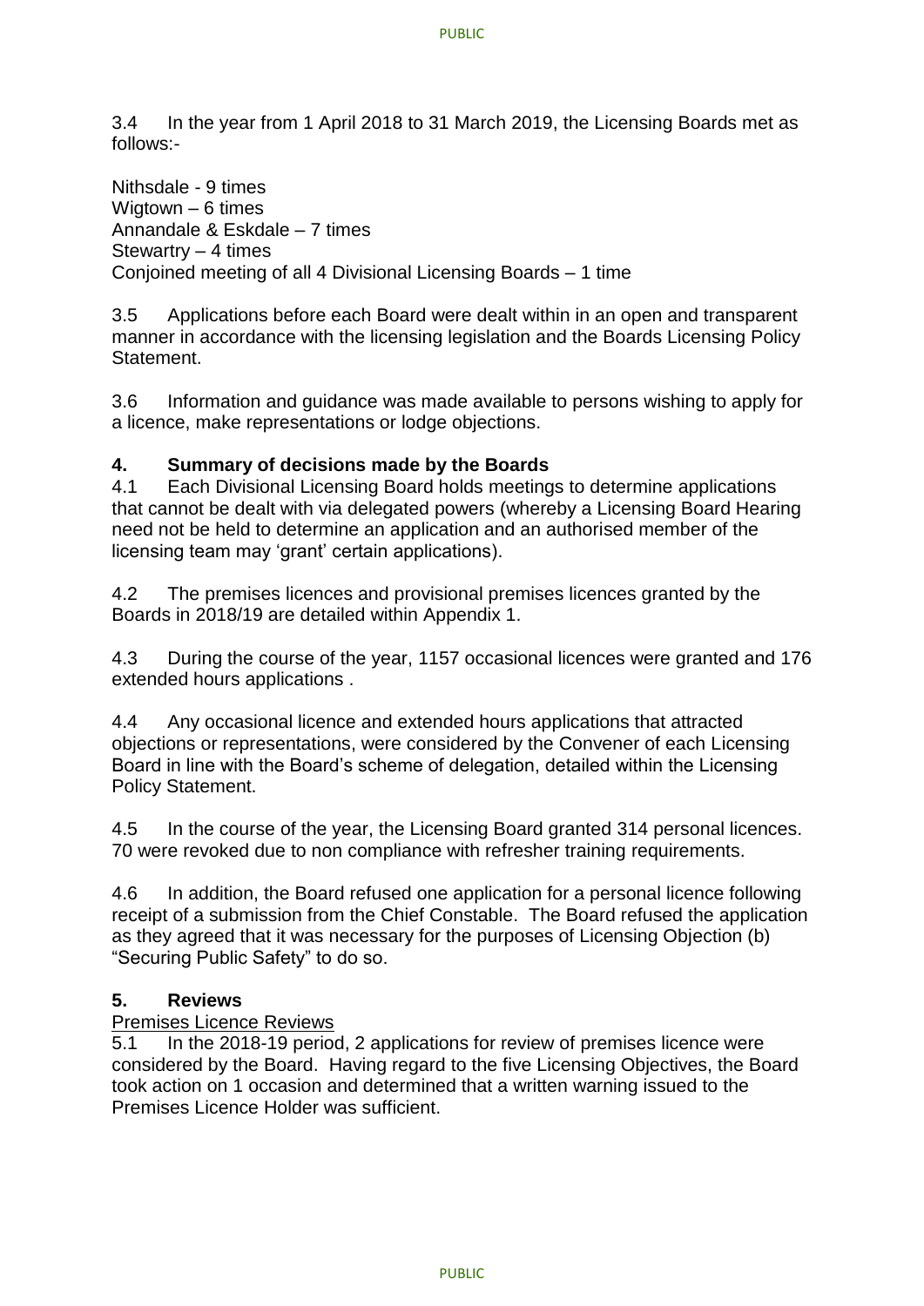3.4 In the year from 1 April 2018 to 31 March 2019, the Licensing Boards met as follows:-

Nithsdale - 9 times Wigtown – 6 times Annandale & Eskdale – 7 times Stewartry – 4 times Conjoined meeting of all 4 Divisional Licensing Boards – 1 time

3.5 Applications before each Board were dealt within in an open and transparent manner in accordance with the licensing legislation and the Boards Licensing Policy Statement.

3.6 Information and guidance was made available to persons wishing to apply for a licence, make representations or lodge objections.

#### **4. Summary of decisions made by the Boards**

4.1 Each Divisional Licensing Board holds meetings to determine applications that cannot be dealt with via delegated powers (whereby a Licensing Board Hearing need not be held to determine an application and an authorised member of the licensing team may 'grant' certain applications).

4.2 The premises licences and provisional premises licences granted by the Boards in 2018/19 are detailed within Appendix 1.

4.3 During the course of the year, 1157 occasional licences were granted and 176 extended hours applications .

4.4 Any occasional licence and extended hours applications that attracted objections or representations, were considered by the Convener of each Licensing Board in line with the Board's scheme of delegation, detailed within the Licensing Policy Statement.

4.5 In the course of the year, the Licensing Board granted 314 personal licences. 70 were revoked due to non compliance with refresher training requirements.

4.6 In addition, the Board refused one application for a personal licence following receipt of a submission from the Chief Constable. The Board refused the application as they agreed that it was necessary for the purposes of Licensing Objection (b) "Securing Public Safety" to do so.

#### **5. Reviews**

#### Premises Licence Reviews

5.1 In the 2018-19 period, 2 applications for review of premises licence were considered by the Board. Having regard to the five Licensing Objectives, the Board took action on 1 occasion and determined that a written warning issued to the Premises Licence Holder was sufficient.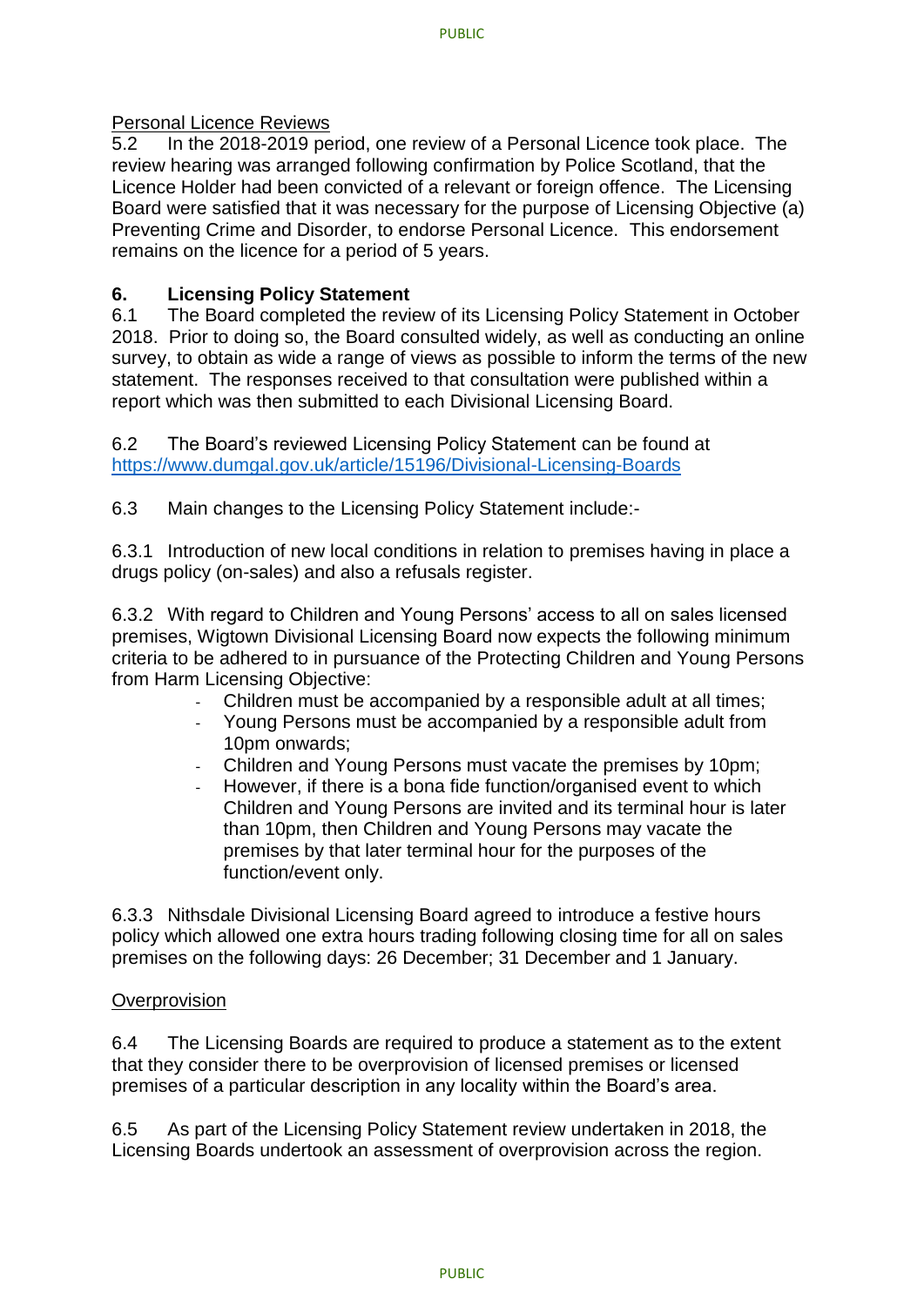#### Personal Licence Reviews

5.2 In the 2018-2019 period, one review of a Personal Licence took place. The review hearing was arranged following confirmation by Police Scotland, that the Licence Holder had been convicted of a relevant or foreign offence. The Licensing Board were satisfied that it was necessary for the purpose of Licensing Objective (a) Preventing Crime and Disorder, to endorse Personal Licence. This endorsement remains on the licence for a period of 5 years.

#### **6. Licensing Policy Statement**

6.1 The Board completed the review of its Licensing Policy Statement in October 2018. Prior to doing so, the Board consulted widely, as well as conducting an online survey, to obtain as wide a range of views as possible to inform the terms of the new statement. The responses received to that consultation were published within a report which was then submitted to each Divisional Licensing Board.

6.2 The Board's reviewed Licensing Policy Statement can be found at <https://www.dumgal.gov.uk/article/15196/Divisional-Licensing-Boards>

6.3 Main changes to the Licensing Policy Statement include:-

6.3.1 Introduction of new local conditions in relation to premises having in place a drugs policy (on-sales) and also a refusals register.

6.3.2 With regard to Children and Young Persons' access to all on sales licensed premises, Wigtown Divisional Licensing Board now expects the following minimum criteria to be adhered to in pursuance of the Protecting Children and Young Persons from Harm Licensing Objective:

- Children must be accompanied by a responsible adult at all times;
- Young Persons must be accompanied by a responsible adult from 10pm onwards:
- Children and Young Persons must vacate the premises by 10pm;
- However, if there is a bona fide function/organised event to which Children and Young Persons are invited and its terminal hour is later than 10pm, then Children and Young Persons may vacate the premises by that later terminal hour for the purposes of the function/event only.

6.3.3 Nithsdale Divisional Licensing Board agreed to introduce a festive hours policy which allowed one extra hours trading following closing time for all on sales premises on the following days: 26 December; 31 December and 1 January.

#### **Overprovision**

6.4 The Licensing Boards are required to produce a statement as to the extent that they consider there to be overprovision of licensed premises or licensed premises of a particular description in any locality within the Board's area.

6.5 As part of the Licensing Policy Statement review undertaken in 2018, the Licensing Boards undertook an assessment of overprovision across the region.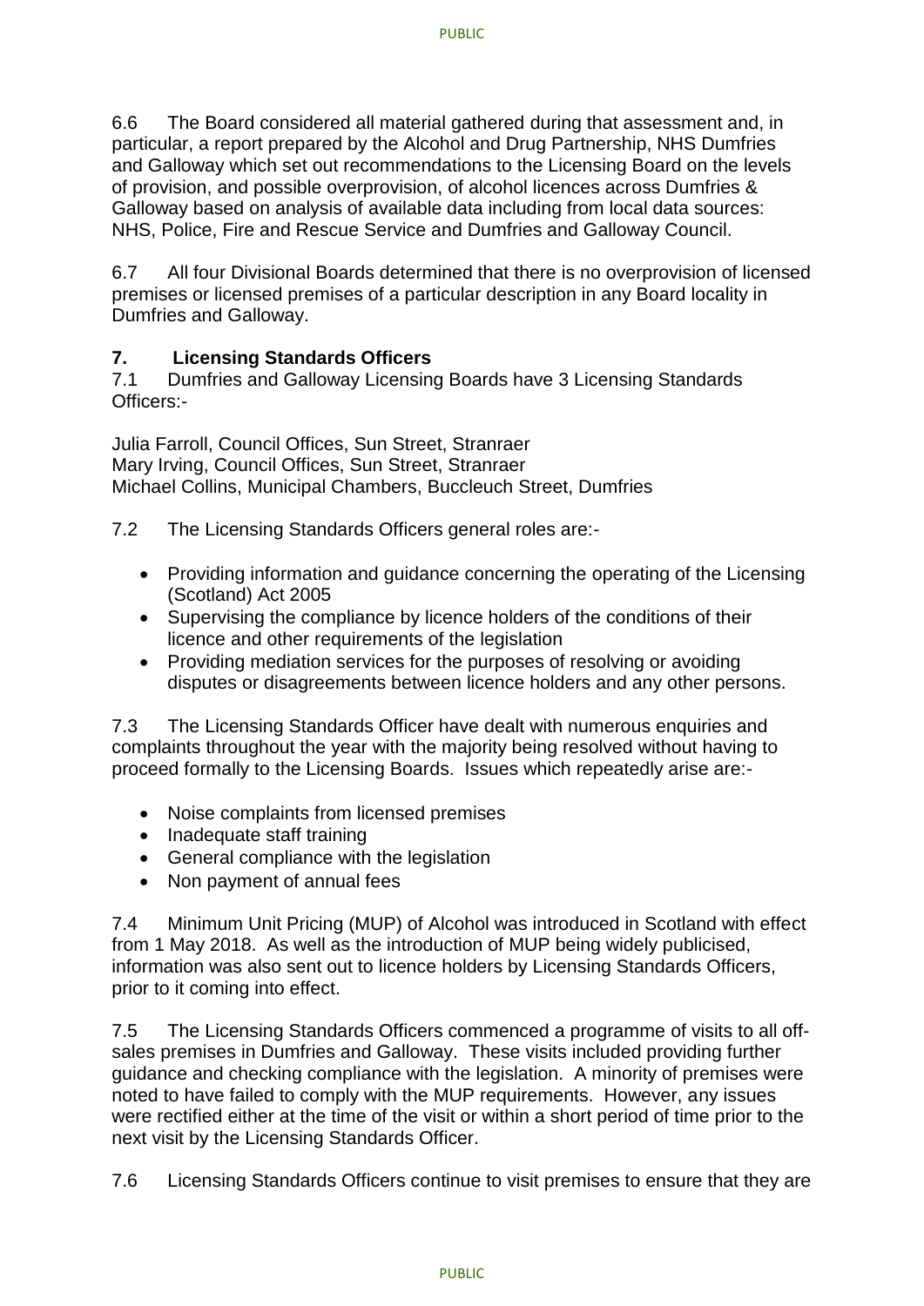6.6 The Board considered all material gathered during that assessment and, in particular, a report prepared by the Alcohol and Drug Partnership, NHS Dumfries and Galloway which set out recommendations to the Licensing Board on the levels of provision, and possible overprovision, of alcohol licences across Dumfries & Galloway based on analysis of available data including from local data sources: NHS, Police, Fire and Rescue Service and Dumfries and Galloway Council.

6.7 All four Divisional Boards determined that there is no overprovision of licensed premises or licensed premises of a particular description in any Board locality in Dumfries and Galloway.

## **7. Licensing Standards Officers**

7.1 Dumfries and Galloway Licensing Boards have 3 Licensing Standards Officers:-

Julia Farroll, Council Offices, Sun Street, Stranraer Mary Irving, Council Offices, Sun Street, Stranraer Michael Collins, Municipal Chambers, Buccleuch Street, Dumfries

7.2 The Licensing Standards Officers general roles are:-

- Providing information and guidance concerning the operating of the Licensing (Scotland) Act 2005
- Supervising the compliance by licence holders of the conditions of their licence and other requirements of the legislation
- Providing mediation services for the purposes of resolving or avoiding disputes or disagreements between licence holders and any other persons.

7.3 The Licensing Standards Officer have dealt with numerous enquiries and complaints throughout the year with the majority being resolved without having to proceed formally to the Licensing Boards. Issues which repeatedly arise are:-

- Noise complaints from licensed premises
- Inadequate staff training
- General compliance with the legislation
- Non payment of annual fees

7.4 Minimum Unit Pricing (MUP) of Alcohol was introduced in Scotland with effect from 1 May 2018. As well as the introduction of MUP being widely publicised, information was also sent out to licence holders by Licensing Standards Officers, prior to it coming into effect.

7.5 The Licensing Standards Officers commenced a programme of visits to all offsales premises in Dumfries and Galloway. These visits included providing further guidance and checking compliance with the legislation. A minority of premises were noted to have failed to comply with the MUP requirements. However, any issues were rectified either at the time of the visit or within a short period of time prior to the next visit by the Licensing Standards Officer.

7.6 Licensing Standards Officers continue to visit premises to ensure that they are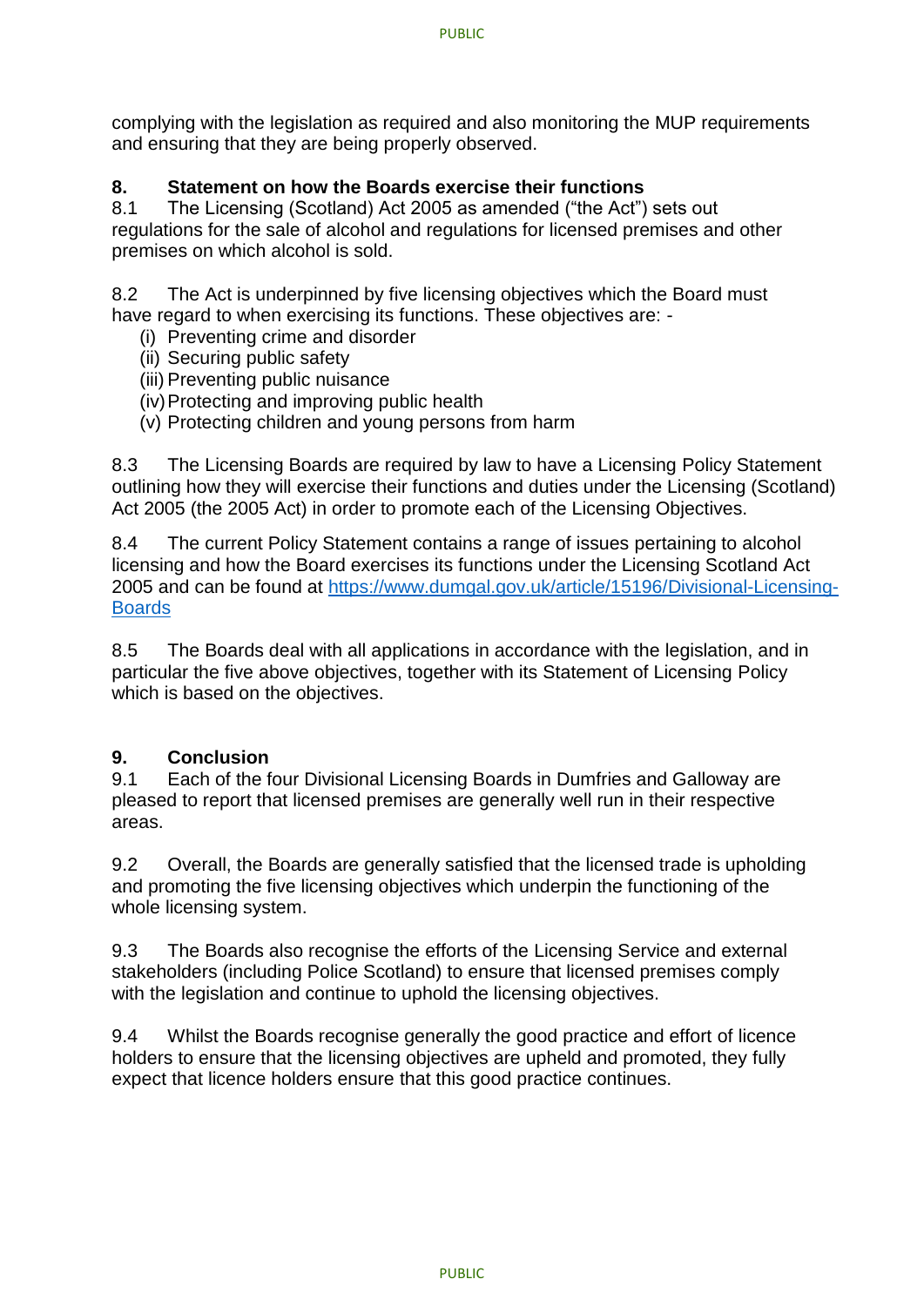complying with the legislation as required and also monitoring the MUP requirements and ensuring that they are being properly observed.

## **8. Statement on how the Boards exercise their functions**

8.1 The Licensing (Scotland) Act 2005 as amended ("the Act") sets out regulations for the sale of alcohol and regulations for licensed premises and other premises on which alcohol is sold.

8.2 The Act is underpinned by five licensing objectives which the Board must have regard to when exercising its functions. These objectives are: -

- (i) Preventing crime and disorder
- (ii) Securing public safety
- (iii) Preventing public nuisance
- (iv)Protecting and improving public health
- (v) Protecting children and young persons from harm

8.3 The Licensing Boards are required by law to have a Licensing Policy Statement outlining how they will exercise their functions and duties under the Licensing (Scotland) Act 2005 (the 2005 Act) in order to promote each of the Licensing Objectives.

8.4 The current Policy Statement contains a range of issues pertaining to alcohol licensing and how the Board exercises its functions under the Licensing Scotland Act 2005 and can be found at [https://www.dumgal.gov.uk/article/15196/Divisional-Licensing-](https://www.dumgal.gov.uk/article/15196/Divisional-Licensing-Boards)**[Boards](https://www.dumgal.gov.uk/article/15196/Divisional-Licensing-Boards)** 

8.5 The Boards deal with all applications in accordance with the legislation, and in particular the five above objectives, together with its Statement of Licensing Policy which is based on the objectives.

## **9. Conclusion**

9.1 Each of the four Divisional Licensing Boards in Dumfries and Galloway are pleased to report that licensed premises are generally well run in their respective areas.

9.2 Overall, the Boards are generally satisfied that the licensed trade is upholding and promoting the five licensing objectives which underpin the functioning of the whole licensing system.

9.3 The Boards also recognise the efforts of the Licensing Service and external stakeholders (including Police Scotland) to ensure that licensed premises comply with the legislation and continue to uphold the licensing objectives.

9.4 Whilst the Boards recognise generally the good practice and effort of licence holders to ensure that the licensing objectives are upheld and promoted, they fully expect that licence holders ensure that this good practice continues.